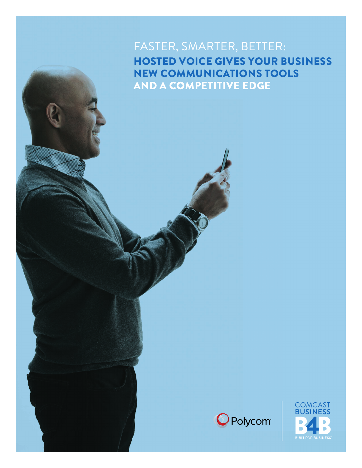### FASTER, SMARTER, BETTER: HOSTED VOICE GIVES YOUR BUSINESS NEW COMMUNICATIONS TOOLS AND A COMPETITIVE EDGE



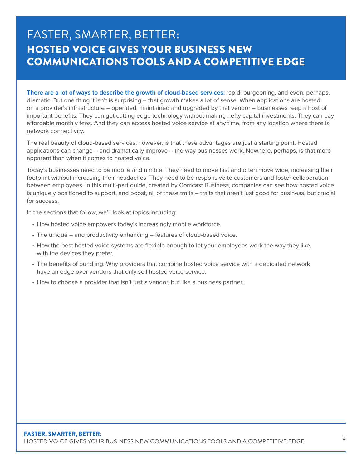### FASTER, SMARTER, BETTER: HOSTED VOICE GIVES YOUR BUSINESS NEW COMMUNICATIONS TOOLS AND A COMPETITIVE EDGE

**There are a lot of ways to describe the growth of cloud-based services:** rapid, burgeoning, and even, perhaps, dramatic. But one thing it isn't is surprising – that growth makes a lot of sense. When applications are hosted on a provider's infrastructure – operated, maintained and upgraded by that vendor – businesses reap a host of important benefits. They can get cutting-edge technology without making hefty capital investments. They can pay affordable monthly fees. And they can access hosted voice service at any time, from any location where there is network connectivity.

The real beauty of cloud-based services, however, is that these advantages are just a starting point. Hosted applications can change – and dramatically improve – the way businesses work. Nowhere, perhaps, is that more apparent than when it comes to hosted voice.

Today's businesses need to be mobile and nimble. They need to move fast and often move wide, increasing their footprint without increasing their headaches. They need to be responsive to customers and foster collaboration between employees. In this multi-part guide, created by Comcast Business, companies can see how hosted voice is uniquely positioned to support, and boost, all of these traits – traits that aren't just good for business, but crucial for success.

In the sections that follow, we'll look at topics including:

- How hosted voice empowers today's increasingly mobile workforce.
- The unique and productivity enhancing features of cloud-based voice.
- How the best hosted voice systems are flexible enough to let your employees work the way they like, with the devices they prefer.
- The benefits of bundling: Why providers that combine hosted voice service with a dedicated network have an edge over vendors that only sell hosted voice service.
- How to choose a provider that isn't just a vendor, but like a business partner.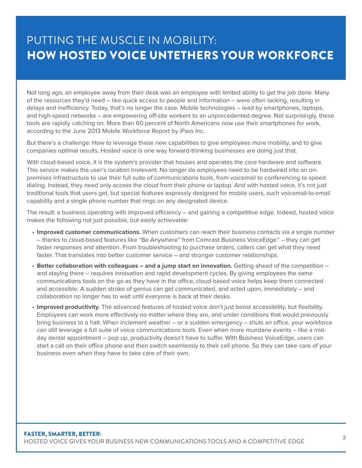# PUTTING THE MUSCLE IN MOBILITY: HOW HOSTED VOICE UNTETHERS YOUR WORKFORCE

Not long ago, an employee away from their desk was an employee with limited ability to get the job done. Many of the resources they'd need – like quick access to people and information – were often lacking, resulting in delays and inefficiency. Today, that's no longer the case. Mobile technologies – lead by smartphones, laptops, and high-speed networks – are empowering off-site workers to an unprecedented degree. Not surprisingly, these tools are rapidly catching on. More than 60 percent of North Americans now use their smartphones for work, according to the June 2013 Mobile Workforce Report by iPass Inc.

But there's a challenge: How to leverage these new capabilities to give employees more mobility, and to give companies optimal results. Hosted voice is one way forward-thinking businesses are doing just that.

With cloud-based voice, it is the system's provider that houses and operates the core hardware and software. This service makes the user's location irrelevant. No longer do employees need to be hardwired into an onpremises infrastructure to use their full suite of communications tools, from voicemail to conferencing to speed dialing. Instead, they need only access the cloud from their phone or laptop. And with hosted voice, it's not just traditional tools that users get, but special features expressly designed for mobile users, such voicemail-to-email capability and a single phone number that rings on any designated device.

The result: a business operating with improved efficiency – and gaining a competitive edge. Indeed, hosted voice makes the following not just possible, but easily achievable:

- **Improved customer communications.** When customers can reach their business contacts via a single number – thanks to cloud-based features like "Be Anywhere" from Comcast Business VoiceEdge™ – they can get faster responses and attention. From troubleshooting to purchase orders, callers can get what they need faster. That translates into better customer service – and stronger customer relationships.
- **Better collaboration with colleagues and a jump start on innovation.** Getting ahead of the competition and staying there – requires innovation and rapid development cycles. By giving employees the same communications tools on the go as they have in the office, cloud-based voice helps keep them connected and accessible. A sudden stroke of genius can get communicated, and acted upon, immediately – and collaboration no longer has to wait until everyone is back at their desks.
- **Improved productivity.** The advanced features of hosted voice don't just boost accessibility, but flexibility. Employees can work more effectively no matter where they are, and under conditions that would previously bring business to a halt. When inclement weather – or a sudden emergency – shuts an office, your workforce can still leverage a full suite of voice communications tools. Even when more mundane events – like a mid day dental appointment – pop up, productivity doesn't have to suffer. With Business VoiceEdge, users can start a call on their office phone and then switch seamlessly to their cell phone. So they can take care of your business even when they have to take care of their own.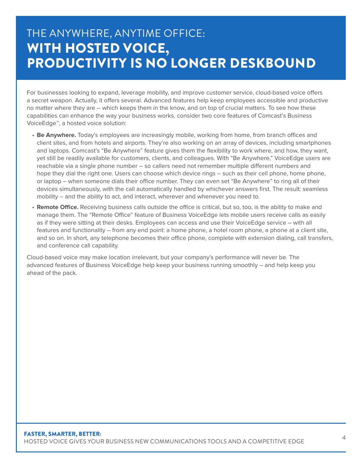# THE ANYWHERE, ANYTIME OFFICE: WITH HOSTED VOICE, PRODUCTIVITY IS NO LONGER DESKBOUND

For businesses looking to expand, leverage mobility, and improve customer service, cloud-based voice offers a secret weapon. Actually, it offers several. Advanced features help keep employees accessible and productive no matter where they are – which keeps them in the know, and on top of crucial matters. To see how these capabilities can enhance the way your business works, consider two core features of Comcast's Business VoiceEdge™, a hosted voice solution:

- **Be Anywhere.** Today's employees are increasingly mobile, working from home, from branch offices and client sites, and from hotels and airports. They're also working on an array of devices, including smartphones and laptops. Comcast's "Be Anywhere" feature gives them the flexibility to work where, and how, they want, yet still be readily available for customers, clients, and colleagues. With "Be Anywhere," VoiceEdge users are reachable via a single phone number – so callers need not remember multiple different numbers and hope they dial the right one. Users can choose which device rings – such as their cell phone, home phone, or laptop – when someone dials their office number. They can even set "Be Anywhere" to ring all of their devices simultaneously, with the call automatically handled by whichever answers first. The result: seamless mobility – and the ability to act, and interact, wherever and whenever you need to.
- **Remote Office.** Receiving business calls outside the office is critical, but so, too, is the ability to make and manage them. The "Remote Office" feature of Business VoiceEdge lets mobile users receive calls as easily as if they were sitting at their desks. Employees can access and use their VoiceEdge service – with all features and functionality – from any end point: a home phone, a hotel room phone, a phone at a client site, and so on. In short, any telephone becomes their office phone, complete with extension dialing, call transfers, and conference call capability.

Cloud-based voice may make location irrelevant, but your company's performance will never be. The advanced features of Business VoiceEdge help keep your business running smoothly – and help keep you ahead of the pack.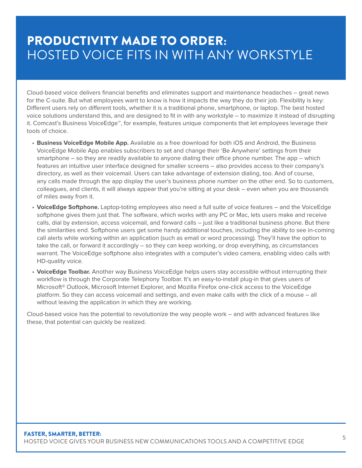# PRODUCTIVITY MADE TO ORDER: HOSTED VOICE FITS IN WITH ANY WORKSTYLE

Cloud-based voice delivers financial benefits and eliminates support and maintenance headaches – great news for the C-suite. But what employees want to know is how it impacts the way they do their job. Flexibility is key: Different users rely on different tools, whether it is a traditional phone, smartphone, or laptop. The best hosted voice solutions understand this, and are designed to fit in with any workstyle – to maximize it instead of disrupting it. Comcast's Business VoiceEdge™, for example, features unique components that let employees leverage their tools of choice.

- **Business VoiceEdge Mobile App.** Available as a free download for both iOS and Android, the Business VoiceEdge Mobile App enables subscribers to set and change their 'Be Anywhere' settings from their smartphone – so they are readily available to anyone dialing their office phone number. The app – which features an intuitive user interface designed for smaller screens – also provides access to their company's directory, as well as their voicemail. Users can take advantage of extension dialing, too. And of course, any calls made through the app display the user's business phone number on the other end. So to customers, colleagues, and clients, it will always appear that you're sitting at your desk – even when you are thousands of miles away from it.
- **VoiceEdge Softphone.** Laptop-toting employees also need a full suite of voice features and the VoiceEdge softphone gives them just that. The software, which works with any PC or Mac, lets users make and receive calls, dial by extension, access voicemail, and forward calls – just like a traditional business phone. But there the similarities end. Softphone users get some handy additional touches, including the ability to see in-coming call alerts while working within an application (such as email or word processing). They'll have the option to take the call, or forward it accordingly – so they can keep working, or drop everything, as circumstances warrant. The VoiceEdge softphone also integrates with a computer's video camera, enabling video calls with HD-quality voice.
- **VoiceEdge Toolbar.** Another way Business VoiceEdge helps users stay accessible without interrupting their workflow is through the Corporate Telephony Toolbar. It's an easy-to-install plug-in that gives users of Microsoft® Outlook, Microsoft Internet Explorer, and Mozilla Firefox one-click access to the VoiceEdge platform. So they can access voicemail and settings, and even make calls with the click of a mouse – all without leaving the application in which they are working.

Cloud-based voice has the potential to revolutionize the way people work – and with advanced features like these, that potential can quickly be realized.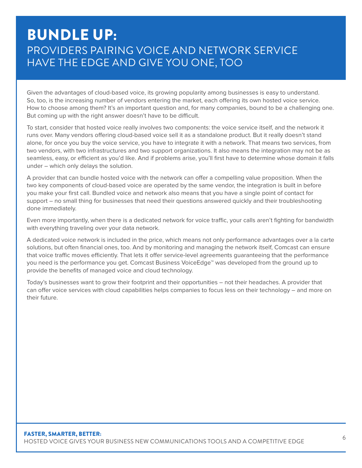# BUNDLE UP: PROVIDERS PAIRING VOICE AND NETWORK SERVICE HAVE THE EDGE AND GIVE YOU ONE, TOO

Given the advantages of cloud-based voice, its growing popularity among businesses is easy to understand. So, too, is the increasing number of vendors entering the market, each offering its own hosted voice service. How to choose among them? It's an important question and, for many companies, bound to be a challenging one. But coming up with the right answer doesn't have to be difficult.

To start, consider that hosted voice really involves two components: the voice service itself, and the network it runs over. Many vendors offering cloud-based voice sell it as a standalone product. But it really doesn't stand alone, for once you buy the voice service, you have to integrate it with a network. That means two services, from two vendors, with two infrastructures and two support organizations. It also means the integration may not be as seamless, easy, or efficient as you'd like. And if problems arise, you'll first have to determine whose domain it falls under – which only delays the solution.

A provider that can bundle hosted voice with the network can offer a compelling value proposition. When the two key components of cloud-based voice are operated by the same vendor, the integration is built in before you make your first call. Bundled voice and network also means that you have a single point of contact for support – no small thing for businesses that need their questions answered quickly and their troubleshooting done immediately.

Even more importantly, when there is a dedicated network for voice traffic, your calls aren't fighting for bandwidth with everything traveling over your data network.

A dedicated voice network is included in the price, which means not only performance advantages over a la carte solutions, but often financial ones, too. And by monitoring and managing the network itself, Comcast can ensure that voice traffic moves efficiently. That lets it offer service-level agreements guaranteeing that the performance you need is the performance you get. Comcast Business VoiceEdge™ was developed from the ground up to provide the benefits of managed voice and cloud technology.

Today's businesses want to grow their footprint and their opportunities – not their headaches. A provider that can offer voice services with cloud capabilities helps companies to focus less on their technology – and more on their future.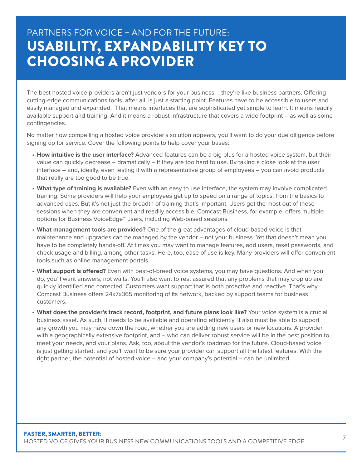# PARTNERS FOR VOICE – AND FOR THE FUTURE: USABILITY, EXPANDABILITY KEY TO CHOOSING A PROVIDER

The best hosted voice providers aren't just vendors for your business – they're like business partners. Offering cutting-edge communications tools, after all, is just a starting point. Features have to be accessible to users and easily managed and expanded. That means interfaces that are sophisticated yet simple to learn. It means readily available support and training. And it means a robust infrastructure that covers a wide footprint – as well as some contingencies.

No matter how compelling a hosted voice provider's solution appears, you'll want to do your due diligence before signing up for service. Cover the following points to help cover your bases:

- **How intuitive is the user interface?** Advanced features can be a big plus for a hosted voice system, but their value can quickly decrease – dramatically – if they are too hard to use. By taking a close look at the user interface – and, ideally, even testing it with a representative group of employees – you can avoid products that really are too good to be true.
- **What type of training is available?** Even with an easy to use interface, the system may involve complicated training. Some providers will help your employees get up to speed on a range of topics, from the basics to advanced uses. But it's not just the breadth of training that's important. Users get the most out of these sessions when they are convenient and readily accessible. Comcast Business, for example, offers multiple options for Business VoiceEdge™ users, including Web-based sessions.
- **What management tools are provided?** One of the great advantages of cloud-based voice is that maintenance and upgrades can be managed by the vendor – not your business. Yet that doesn't mean you have to be completely hands-off. At times you may want to manage features, add users, reset passwords, and check usage and billing, among other tasks. Here, too, ease of use is key. Many providers will offer convenient tools such as online management portals.
- **What support is offered?** Even with best-of-breed voice systems, you may have questions. And when you do, you'll want answers, not waits. You'll also want to rest assured that any problems that may crop up are quickly identified and corrected. Customers want support that is both proactive and reactive. That's why Comcast Business offers 24x7x365 monitoring of its network, backed by support teams for business customers.
- **What does the provider's track record, footprint, and future plans look like?** Your voice system is a crucial business asset. As such, it needs to be available and operating efficiently. It also must be able to support any growth you may have down the road, whether you are adding new users or new locations. A provider with a geographically extensive footprint, and – who can deliver robust service will be in the best position to meet your needs, and your plans. Ask, too, about the vendor's roadmap for the future. Cloud-based voice is just getting started, and you'll want to be sure your provider can support all the latest features. With the right partner, the potential of hosted voice – and your company's potential – can be unlimited.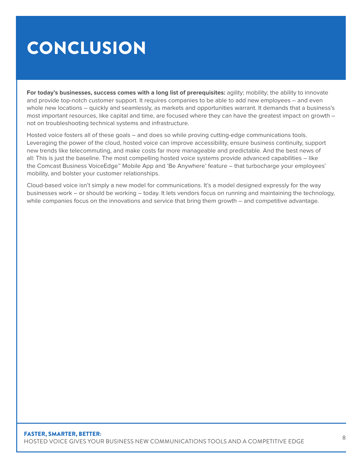# CONCLUSION

**For today's businesses, success comes with a long list of prerequisites:** agility; mobility; the ability to innovate and provide top-notch customer support. It requires companies to be able to add new employees – and even whole new locations – quickly and seamlessly, as markets and opportunities warrant. It demands that a business's most important resources, like capital and time, are focused where they can have the greatest impact on growth – not on troubleshooting technical systems and infrastructure.

Hosted voice fosters all of these goals – and does so while proving cutting-edge communications tools. Leveraging the power of the cloud, hosted voice can improve accessibility, ensure business continuity, support new trends like telecommuting, and make costs far more manageable and predictable. And the best news of all: This is just the baseline. The most compelling hosted voice systems provide advanced capabilities – like the Comcast Business VoiceEdge™ Mobile App and 'Be Anywhere' feature – that turbocharge your employees' mobility, and bolster your customer relationships.

Cloud-based voice isn't simply a new model for communications. It's a model designed expressly for the way businesses work – or should be working – today. It lets vendors focus on running and maintaining the technology, while companies focus on the innovations and service that bring them growth – and competitive advantage.